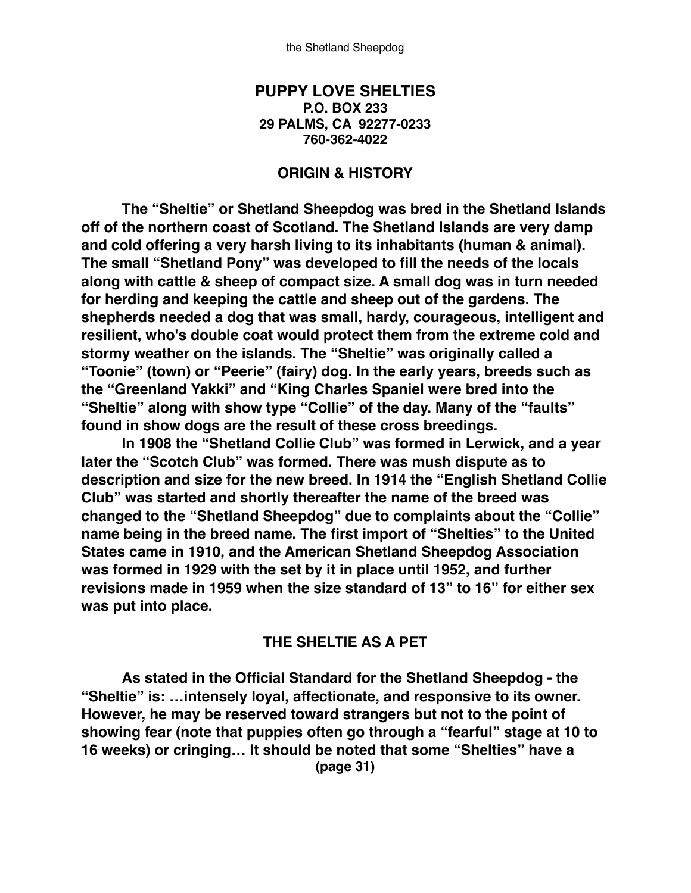#### **PUPPY LOVE SHELTIES P.O. BOX 233 29 PALMS, CA 92277-0233 760-362-4022**

#### **ORIGIN & HISTORY**

**The "Sheltie" or Shetland Sheepdog was bred in the Shetland Islands off of the northern coast of Scotland. The Shetland Islands are very damp and cold offering a very harsh living to its inhabitants (human & animal). The small "Shetland Pony" was developed to fill the needs of the locals along with cattle & sheep of compact size. A small dog was in turn needed for herding and keeping the cattle and sheep out of the gardens. The shepherds needed a dog that was small, hardy, courageous, intelligent and resilient, who's double coat would protect them from the extreme cold and stormy weather on the islands. The "Sheltie" was originally called a "Toonie" (town) or "Peerie" (fairy) dog. In the early years, breeds such as the "Greenland Yakki" and "King Charles Spaniel were bred into the "Sheltie" along with show type "Collie" of the day. Many of the "faults" found in show dogs are the result of these cross breedings.**

**In 1908 the "Shetland Collie Club" was formed in Lerwick, and a year later the "Scotch Club" was formed. There was mush dispute as to description and size for the new breed. In 1914 the "English Shetland Collie Club" was started and shortly thereafter the name of the breed was changed to the "Shetland Sheepdog" due to complaints about the "Collie" name being in the breed name. The first import of "Shelties" to the United States came in 1910, and the American Shetland Sheepdog Association was formed in 1929 with the set by it in place until 1952, and further revisions made in 1959 when the size standard of 13" to 16" for either sex was put into place.**

#### **THE SHELTIE AS A PET**

**As stated in the Official Standard for the Shetland Sheepdog - the "Sheltie" is: …intensely loyal, affectionate, and responsive to its owner. However, he may be reserved toward strangers but not to the point of showing fear (note that puppies often go through a "fearful" stage at 10 to 16 weeks) or cringing… It should be noted that some "Shelties" have a (page 31)**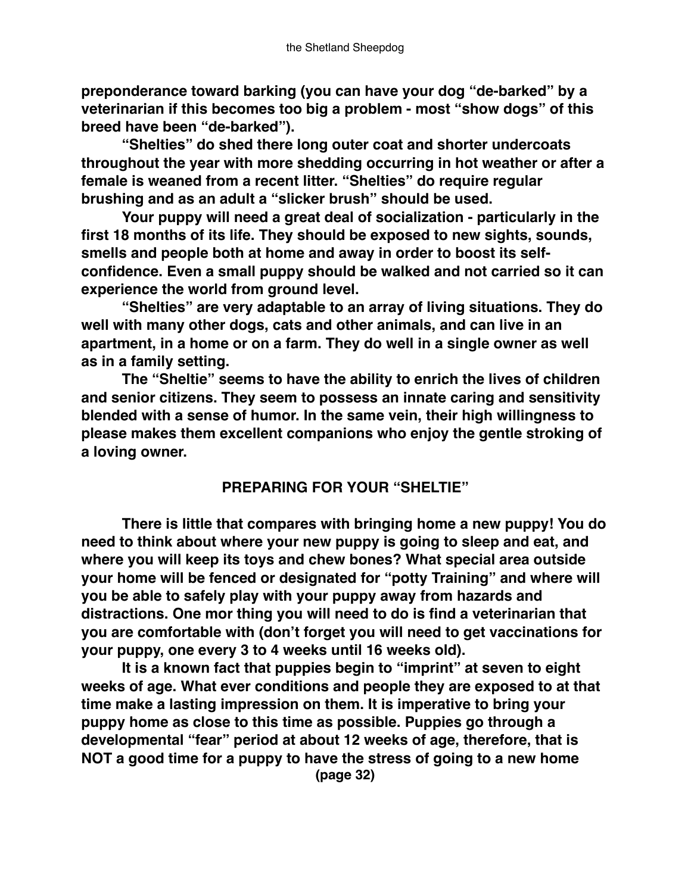**preponderance toward barking (you can have your dog "de-barked" by a veterinarian if this becomes too big a problem - most "show dogs" of this breed have been "de-barked").**

**"Shelties" do shed there long outer coat and shorter undercoats throughout the year with more shedding occurring in hot weather or after a female is weaned from a recent litter. "Shelties" do require regular brushing and as an adult a "slicker brush" should be used.**

**Your puppy will need a great deal of socialization - particularly in the first 18 months of its life. They should be exposed to new sights, sounds, smells and people both at home and away in order to boost its selfconfidence. Even a small puppy should be walked and not carried so it can experience the world from ground level.**

**"Shelties" are very adaptable to an array of living situations. They do well with many other dogs, cats and other animals, and can live in an apartment, in a home or on a farm. They do well in a single owner as well as in a family setting.**

**The "Sheltie" seems to have the ability to enrich the lives of children and senior citizens. They seem to possess an innate caring and sensitivity blended with a sense of humor. In the same vein, their high willingness to please makes them excellent companions who enjoy the gentle stroking of a loving owner.**

# **PREPARING FOR YOUR "SHELTIE"**

**There is little that compares with bringing home a new puppy! You do need to think about where your new puppy is going to sleep and eat, and where you will keep its toys and chew bones? What special area outside your home will be fenced or designated for "potty Training" and where will you be able to safely play with your puppy away from hazards and distractions. One mor thing you will need to do is find a veterinarian that you are comfortable with (don't forget you will need to get vaccinations for your puppy, one every 3 to 4 weeks until 16 weeks old).**

**It is a known fact that puppies begin to "imprint" at seven to eight weeks of age. What ever conditions and people they are exposed to at that time make a lasting impression on them. It is imperative to bring your puppy home as close to this time as possible. Puppies go through a developmental "fear" period at about 12 weeks of age, therefore, that is NOT a good time for a puppy to have the stress of going to a new home (page 32)**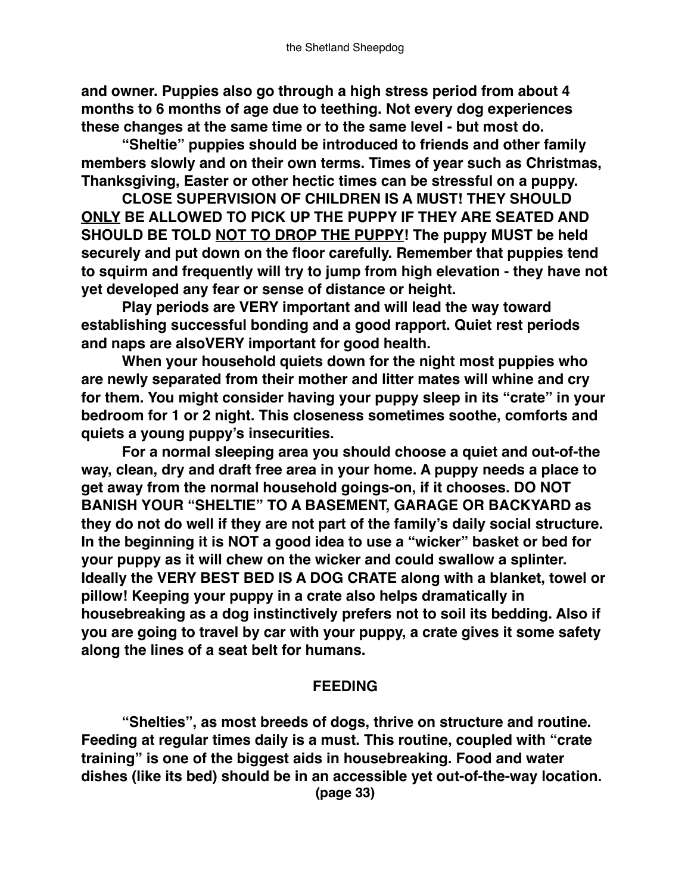**and owner. Puppies also go through a high stress period from about 4 months to 6 months of age due to teething. Not every dog experiences these changes at the same time or to the same level - but most do.**

**"Sheltie" puppies should be introduced to friends and other family members slowly and on their own terms. Times of year such as Christmas, Thanksgiving, Easter or other hectic times can be stressful on a puppy.**

**CLOSE SUPERVISION OF CHILDREN IS A MUST! THEY SHOULD ONLY BE ALLOWED TO PICK UP THE PUPPY IF THEY ARE SEATED AND SHOULD BE TOLD NOT TO DROP THE PUPPY! The puppy MUST be held securely and put down on the floor carefully. Remember that puppies tend to squirm and frequently will try to jump from high elevation - they have not yet developed any fear or sense of distance or height.**

**Play periods are VERY important and will lead the way toward establishing successful bonding and a good rapport. Quiet rest periods and naps are alsoVERY important for good health.**

**When your household quiets down for the night most puppies who are newly separated from their mother and litter mates will whine and cry for them. You might consider having your puppy sleep in its "crate" in your bedroom for 1 or 2 night. This closeness sometimes soothe, comforts and quiets a young puppy's insecurities.**

**For a normal sleeping area you should choose a quiet and out-of-the way, clean, dry and draft free area in your home. A puppy needs a place to get away from the normal household goings-on, if it chooses. DO NOT BANISH YOUR "SHELTIE" TO A BASEMENT, GARAGE OR BACKYARD as they do not do well if they are not part of the family's daily social structure. In the beginning it is NOT a good idea to use a "wicker" basket or bed for your puppy as it will chew on the wicker and could swallow a splinter. Ideally the VERY BEST BED IS A DOG CRATE along with a blanket, towel or pillow! Keeping your puppy in a crate also helps dramatically in housebreaking as a dog instinctively prefers not to soil its bedding. Also if you are going to travel by car with your puppy, a crate gives it some safety along the lines of a seat belt for humans.**

### **FEEDING**

**"Shelties", as most breeds of dogs, thrive on structure and routine. Feeding at regular times daily is a must. This routine, coupled with "crate training" is one of the biggest aids in housebreaking. Food and water dishes (like its bed) should be in an accessible yet out-of-the-way location. (page 33)**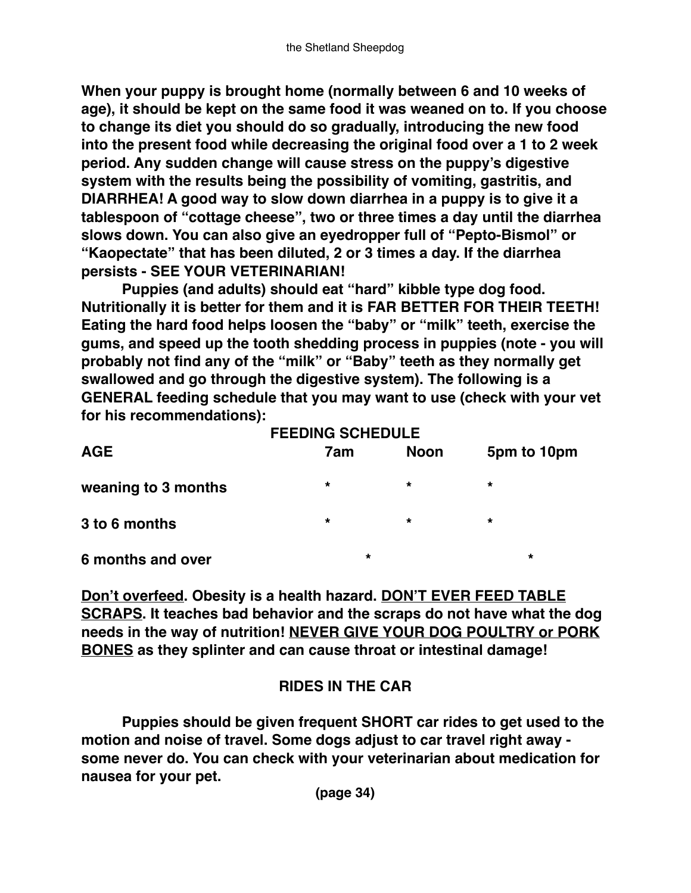**When your puppy is brought home (normally between 6 and 10 weeks of age), it should be kept on the same food it was weaned on to. If you choose to change its diet you should do so gradually, introducing the new food into the present food while decreasing the original food over a 1 to 2 week period. Any sudden change will cause stress on the puppy's digestive system with the results being the possibility of vomiting, gastritis, and DIARRHEA! A good way to slow down diarrhea in a puppy is to give it a tablespoon of "cottage cheese", two or three times a day until the diarrhea slows down. You can also give an eyedropper full of "Pepto-Bismol" or "Kaopectate" that has been diluted, 2 or 3 times a day. If the diarrhea persists - SEE YOUR VETERINARIAN!**

**Puppies (and adults) should eat "hard" kibble type dog food. Nutritionally it is better for them and it is FAR BETTER FOR THEIR TEETH! Eating the hard food helps loosen the "baby" or "milk" teeth, exercise the gums, and speed up the tooth shedding process in puppies (note - you will probably not find any of the "milk" or "Baby" teeth as they normally get swallowed and go through the digestive system). The following is a GENERAL feeding schedule that you may want to use (check with your vet for his recommendations):**

|                     | <b>FEEDING SCHEDULE</b> |             |             |  |
|---------------------|-------------------------|-------------|-------------|--|
| <b>AGE</b>          | 7am                     | <b>Noon</b> | 5pm to 10pm |  |
| weaning to 3 months | $\star$                 | $\star$     | $\star$     |  |
| 3 to 6 months       | $\star$                 | $\star$     | $\star$     |  |
| 6 months and over   | $\star$                 |             | $\star$     |  |

**Don't overfeed. Obesity is a health hazard. DON'T EVER FEED TABLE SCRAPS. It teaches bad behavior and the scraps do not have what the dog needs in the way of nutrition! NEVER GIVE YOUR DOG POULTRY or PORK BONES as they splinter and can cause throat or intestinal damage!**

# **RIDES IN THE CAR**

**Puppies should be given frequent SHORT car rides to get used to the motion and noise of travel. Some dogs adjust to car travel right away some never do. You can check with your veterinarian about medication for nausea for your pet.**